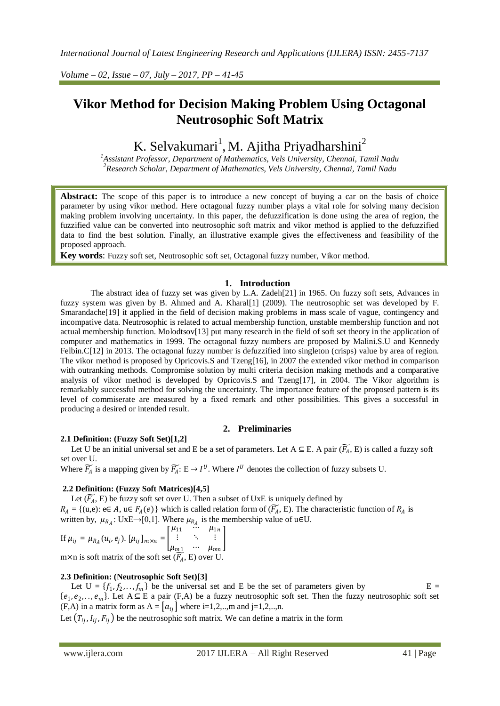*Volume – 02, Issue – 07, July – 2017, PP – 41-45*

# **Vikor Method for Decision Making Problem Using Octagonal Neutrosophic Soft Matrix**

# K. Selvakumari<sup>1</sup>, M. Ajitha Priyadharshini<sup>2</sup>

*1 Assistant Professor, Department of Mathematics, Vels University, Chennai, Tamil Nadu 2 Research Scholar, Department of Mathematics, Vels University, Chennai, Tamil Nadu*

Abstract: The scope of this paper is to introduce a new concept of buying a car on the basis of choice parameter by using vikor method. Here octagonal fuzzy number plays a vital role for solving many decision making problem involving uncertainty. In this paper, the defuzzification is done using the area of region, the fuzzified value can be converted into neutrosophic soft matrix and vikor method is applied to the defuzzified data to find the best solution. Finally, an illustrative example gives the effectiveness and feasibility of the proposed approach.

**Key words**: Fuzzy soft set, Neutrosophic soft set, Octagonal fuzzy number, Vikor method.

# **1. Introduction**

The abstract idea of fuzzy set was given by L.A. Zadeh[21] in 1965. On fuzzy soft sets, Advances in fuzzy system was given by B. Ahmed and A. Kharal[1] (2009). The neutrosophic set was developed by F. Smarandache<sup>[19]</sup> it applied in the field of decision making problems in mass scale of vague, contingency and incompative data. Neutrosophic is related to actual membership function, unstable membership function and not actual membership function. Molodtsov[13] put many research in the field of soft set theory in the application of computer and mathematics in 1999. The octagonal fuzzy numbers are proposed by Malini.S.U and Kennedy Felbin.C[12] in 2013. The octagonal fuzzy number is defuzzified into singleton (crisps) value by area of region. The vikor method is proposed by Opricovis.S and Tzeng[16], in 2007 the extended vikor method in comparison with outranking methods. Compromise solution by multi criteria decision making methods and a comparative analysis of vikor method is developed by Opricovis.S and Tzeng[17], in 2004. The Vikor algorithm is remarkably successful method for solving the uncertainty. The importance feature of the proposed pattern is its level of commiserate are measured by a fixed remark and other possibilities. This gives a successful in producing a desired or intended result.

# **2. Preliminaries**

# **2.1 Definition: (Fuzzy Soft Set)[1,2]**

Let U be an initial universal set and E be a set of parameters. Let  $A \subseteq E$ . A pair  $(\widetilde{F_A}, E)$  is called a fuzzy soft set over U.

Where  $\widetilde{F_A}$  is a mapping given by  $\widetilde{F_A}$ :  $E \to I^U$ . Where  $I^U$  denotes the collection of fuzzy subsets U.

# **2.2 Definition: (Fuzzy Soft Matrices)[4,5]**

Let  $(\widetilde{F_A}, E)$  be fuzzy soft set over U. Then a subset of UxE is uniquely defined by  $R_A = \{(u,e): e \in A, u \in F_A(e)\}\$  which is called relation form of  $(\widetilde{F_A}, E)$ . The characteristic function of  $R_A$  is written by,  $\mu_{R_A}$ : UxE→[0,1]. Where  $\mu_{R_A}$  is the membership value of u∈U.

If 
$$
\mu_{ij} = \mu_{R_A}(u_i, e_j)
$$
.  $[\mu_{ij}]_{m \times n} = \begin{bmatrix} \mu_{11} & \cdots & \mu_{1n} \\ \vdots & \ddots & \vdots \\ \mu_{m1} & \cdots & \mu_{mn} \end{bmatrix}$   
\nm×n is soft matrix of the soft set  $(\overline{R}, E)$  over II

m×n is soft matrix of the soft set  $(F_A, E)$  over U.

# **2.3 Definition: (Neutrosophic Soft Set)[3]**

Let  $U = \{f_1, f_2, \ldots, f_m\}$  be the universal set and E be the set of parameters given by  $E =$  $\{e_1, e_2,..., e_m\}$ . Let  $A \subseteq E$  a pair (F,A) be a fuzzy neutrosophic soft set. Then the fuzzy neutrosophic soft set (F,A) in a matrix form as  $A = [a_{ij}]$  where i=1,2,..,m and j=1,2,..,n.

Let  $(T_{ij}, I_{ij}, F_{ij})$  be the neutrosophic soft matrix. We can define a matrix in the form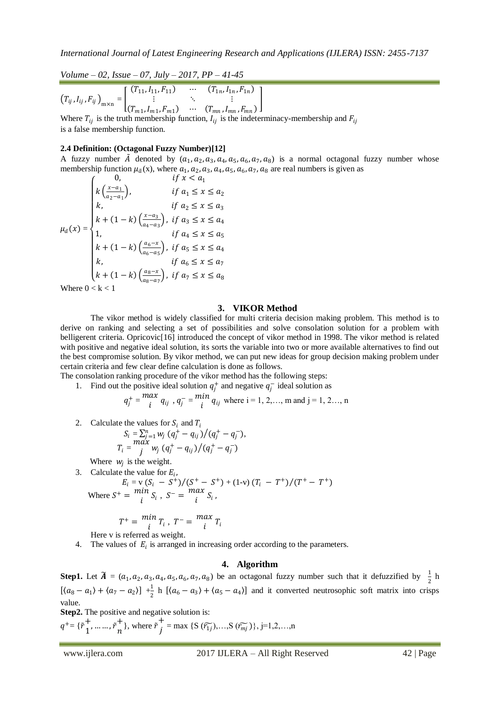*Volume – 02, Issue – 07, July – 2017, PP – 41-45*  $(T_{ij}, I_{ij}, F_{ij})$ <sub>m×n</sub> =  $(T_{11}, I_{11}, F_{11}) \quad \cdots \quad (T_{1n}, I_{1n}, F_{1n})$  $\mathbf{i}$  ,  $\mathbf{j}$  ,  $\mathbf{k}$  ,  $\mathbf{k}$  ,  $\mathbf{k}$  ,  $\mathbf{k}$ 

 $(T_{m1}, I_{m1}, F_{m1}) \quad \cdots \quad (T_{mn}, I_{mn}, F_{mn})$ Where  $T_{ij}$  is the truth membership function,  $I_{ij}$  is the indeterminacy-membership and  $F_{ij}$ is a false membership function.

## **2.4 Definition: (Octagonal Fuzzy Number)[12]**

A fuzzy number  $\tilde{A}$  denoted by  $(a_1, a_2, a_3, a_4, a_5, a_6, a_7, a_8)$  is a normal octagonal fuzzy number whose membership function  $\mu_{\tilde{a}}(x)$ , where  $a_1, a_2, a_3, a_4, a_5, a_6, a_7, a_8$  are real numbers is given as 0,  $\int f \cdot r \leq a$ 

I

$$
\mu_{\tilde{a}}(x) = \begin{cases}\nk \left(\frac{x-a_1}{a_2 - a_1}\right), & \text{if } a_1 \le x \le a_2 \\
k, & \text{if } a_2 \le x \le a_3 \\
k + (1 - k) \left(\frac{x-a_3}{a_4 - a_3}\right), & \text{if } a_3 \le x \le a_4 \\
1, & \text{if } a_4 \le x \le a_5 \\
k + (1 - k) \left(\frac{a_6 - x}{a_6 - a_5}\right), & \text{if } a_5 \le x \le a_4 \\
k, & \text{if } a_6 \le x \le a_7 \\
k + (1 - k) \left(\frac{a_8 - x}{a_8 - a_7}\right), & \text{if } a_7 \le x \le a_8\n\end{cases}
$$
\nWhen  $0 \le k < 1$ .

Where  $0 < k < 1$ 

#### **3. VIKOR Method**

The vikor method is widely classified for multi criteria decision making problem. This method is to derive on ranking and selecting a set of possibilities and solve consolation solution for a problem with belligerent criteria. Opricovic[16] introduced the concept of vikor method in 1998. The vikor method is related with positive and negative ideal solution, its sorts the variable into two or more available alternatives to find out the best compromise solution. By vikor method, we can put new ideas for group decision making problem under certain criteria and few clear define calculation is done as follows.

The consolation ranking procedure of the vikor method has the following steps:

1. Find out the positive ideal solution  $q_j^+$  and negative  $q_j^-$  ideal solution as

$$
q_j^+ = \frac{max}{i} q_{ij}
$$
,  $q_j^- = \frac{min}{i} q_{ij}$  where  $i = 1, 2, ..., m$  and  $j = 1, 2, ..., n$ 

2. Calculate the values for  $S_i$  and  $T_i$ 

$$
S_i = \sum_{j=1}^n w_j (q_j^+ - q_{ij})/(q_j^+ - q_j^-),
$$
  
\n
$$
T_i = \frac{max}{j} w_j (q_j^+ - q_{ij})/(q_j^+ - q_j^-)
$$

Where  $w_j$  is the weight.

3. Calculate the value for  $E_i$ ,

$$
E_i = v (S_i - S^+)/(S^+ - S^+) + (1-v) (T_i - T^+)/(T^+ - T^+)
$$
  
Where  $S^+ = \frac{min}{i} S_i$ ,  $S^- = \frac{max}{i} S_i$ ,

$$
T^{+} = \min_{i} T_{i}, T^{-} = \max_{i} T_{i}
$$

Here v is referred as weight.

4. The values of  $E_i$  is arranged in increasing order according to the parameters.

## **4. Algorithm**

**Step1.** Let  $\widetilde{A} = (a_1, a_2, a_3, a_4, a_5, a_6, a_7, a_8)$  be an octagonal fuzzy number such that it defuzzified by  $\frac{1}{2}$  h  $[ \langle a_8 - a_1 \rangle + \langle a_7 - a_2 \rangle ] + \frac{1}{2}$  $\frac{1}{2}$  h  $\left[ \langle a_6 - a_3 \rangle + \langle a_5 - a_4 \rangle \right]$  and it converted neutrosophic soft matrix into crisps value.

**Step2.** The positive and negative solution is:

 $q^+ = \{ {\tilde{r}}_1^+$  $^{+}_{1}, \dots, \tilde{r}^{+}_{n}$  $\frac{1}{n}$ , where  $\tilde{r}$   $\frac{1}{j}$  $j = \max \{S(\widetilde{r_{1j}}),...,S(\widetilde{r_{mj}})\}, j=1,2,...,n$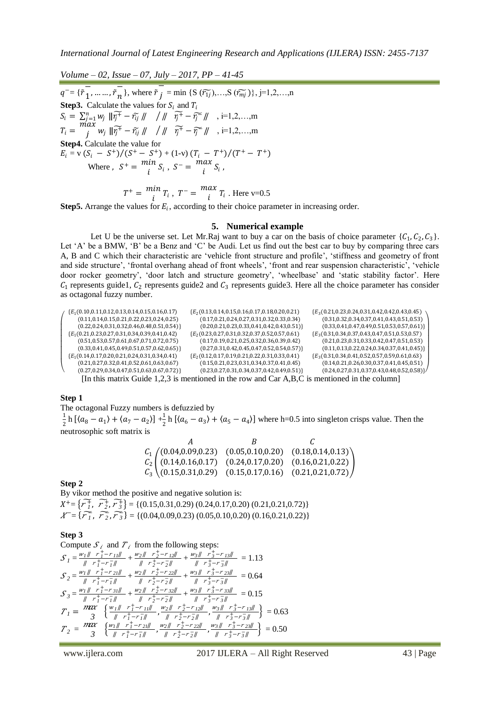*Volume – 02, Issue – 07, July – 2017, PP – 41-45*  $\frac{1}{q^{-} = {\{\tilde{r}_1}^{\phantom{+}}\}^2}$  $\frac{1}{1}, \dots, \tilde{r}_n$  $\frac{1}{n}$ , where  $\overline{\tilde{r}_j}$  $j = \min \{S(\widetilde{r_{1j}}),...,S(\widetilde{r_{mj}})\}, j=1,2,...,n$ **Step3.** Calculate the values for  $S_i$  and  $T_i$  $S_i = \sum_{j=1}^n w_j \|\widetilde{r_j^+} - \widetilde{r_{ij}}\|$  / ||  $\widetilde{r_j^+} - \widetilde{r_j^-}\|$  , i=1,2,...,m  $T_i = \frac{max}{i}$  $\widetilde{y}^{\mu\nu}$   $w_j$   $\|\widetilde{y_j^+} - \widetilde{y_j} \|\|$   $\sqrt{\|\widetilde{y_j^+} - \widetilde{y_j^-} \|}$   $\sqrt{\|\widetilde{y_j^-} - \widetilde{y_j}\|}$ **Step4.** Calculate the value for  $E_i = v (S_i - S^+)/(S^+ - S^+) + (1-v) (T_i - T^+)/(T^+ - T^+)$ Where,  $S^+ = \frac{min}{i}$  $\lim_{i} S_i$ ,  $S^{-} = \frac{max}{i}$  $\int_i^{i} S_i$ ,

$$
T^{+} = \frac{min}{i} T_{i}, \ T^{-} = \frac{max}{i} T_{i}.
$$
 Here v=0.5

**Step5.** Arrange the values for  $E_i$ , according to their choice parameter in increasing order.

#### **5. Numerical example**

Let U be the universe set. Let Mr. Raj want to buy a car on the basis of choice parameter  $\{C_1, C_2, C_3\}$ . Let 'A' be a BMW, 'B' be a Benz and 'C' be Audi. Let us find out the best car to buy by comparing three cars A, B and C which their characteristic are 'vehicle front structure and profile', 'stiffness and geometry of front and side structure', 'frontal overhang ahead of front wheels', 'front and rear suspension characteristic', 'vehicle door rocker geometry', 'door latch and structure geometry', 'wheelbase' and 'static stability factor'. Here  $C_1$  represents guide1,  $C_2$  represents guide2 and  $C_3$  represents guide3. Here all the choice parameter has consider as octagonal fuzzy number.



**Step 1**

The octagonal Fuzzy numbers is defuzzied by 1  $\frac{1}{2}$  h [ $\langle a_8 - a_1 \rangle + \langle a_7 - a_2 \rangle$ ]  $+ \frac{1}{2}$  $\frac{1}{2}$  h  $[(a_6 - a_3) + (a_5 - a_4)]$  where h=0.5 into singleton crisps value. Then the neutrosophic soft matrix is

$$
A \t B \t C
$$
  
\n
$$
C_1 \t (0.04, 0.09, 0.23) \t (0.05, 0.10, 0.20) \t (0.18, 0.14, 0.13)
$$
  
\n
$$
C_2 \t (0.14, 0.16, 0.17) \t (0.24, 0.17, 0.20) \t (0.16, 0.21, 0.22)
$$
  
\n
$$
C_3 \t (0.15, 0.31, 0.29) \t (0.15, 0.17, 0.16) \t (0.21, 0.21, 0.72)
$$

## **Step 2**

By vikor method the positive and negative solution is:  $X^+ = \{ \widetilde{\mathcal{F}}_1^+$ ,  $\widetilde{\mathcal{F}}_2^+$ ,  $\widetilde{\mathcal{F}}_3^+$ } = {(0.15,0.31,0.29) (0.24,0.17,0.20) (0.21,0.21,0.72)}  $X^{\text{=}}$  { $\widetilde{r_1}$ ,  $\widetilde{r_2}$ ,  $\widetilde{r_3}$ } = {(0.04,0.09,0.23) (0.05,0.10,0.20) (0.16,0.21,0.22)}

#### **Step 3**

Compute  $S_i$  and  $T_i$  from the following steps:  $S_1 = \frac{w_1 ||r_1^+ - r_{11}||}{||r_1^+ - r_{11}||}$  $\frac{f_1 \parallel r_1^+ - r_{11} \parallel}{r_1^+ - r_1^- \parallel} + \frac{w_2 \parallel r_2^+ - r_{12} \parallel}{\parallel r_2^+ - r_2^- \parallel}$  $\frac{2||r_2^+-r_{12}||}{||r_2^+-r_2^-||} + \frac{w_3||r_3^+-r_{13}||}{||r_3^+-r_3^-||}$  $\frac{3N+2}{\sqrt{3}+r^2-3N}$  = 1.13  $S_2 = \frac{w_1 ||r_1^+ - r_{21}||}{||r_1^+ - r_{21}||}$  $\frac{f_1 \parallel r_1^+ - r_{21} \parallel}{\parallel r_1^+ - r_1^- \parallel} + \frac{w_2 \parallel r_2^+ - r_{22} \parallel}{\parallel r_2^+ - r_2^- \parallel}$  $\frac{y_2 \parallel r_2^+ - r_{22} \parallel}{\parallel r_2^+ - r_2^- \parallel} + \frac{w_3 \parallel r_3^+ - r_{23} \parallel}{\parallel r_3^+ - r_3^- \parallel}$  $\frac{3\pi}{\pi}$ ,  $\frac{3-7}{3\pi}$ ,  $\frac{23\pi}{\pi}$  = 0.64  $S_3 = \frac{w_1 ||r_1^+ - r_3||}{||r_1^+ - r_2||}$  $\frac{f_1 \parallel r_1^+ - r_3 \parallel}{r_1^+ - r_1^- \parallel} + \frac{w_2 \parallel r_2^+ - r_3 \parallel}{\parallel r_2^+ - r_2^- \parallel}$  $\frac{y}{\sqrt{2}} + \frac{y}{2} - \frac{z}{2}}{y} + \frac{z}{\sqrt{2}} + \frac{w}{z} + \frac{z}{z} - \frac{z}{z}$  $\frac{3}{\pi} \frac{7}{3} - \frac{33\pi}{3\pi} = 0.15$  $T_i = \frac{m x}{3}$  $\frac{2x}{3}$   $\left\{ \frac{w_1 \# \ r_1^+ - r_{11} \#}{\# \ r_1^+ - r_1^- \#} \right\}$ *<u><i>1∥*  $r_1^+$ − $r_1$ <sub>1</sub>∥ *,*  $w_2$ ∥  $r_2^+$ − $r_1$ <sub>2</sub>∥<br>∥  $r_1^+$ − $r_1^-$ ∥ *,*  $w_2^+$ − $r_2^-$ ∥</u> ⃦ *2* <sup>+</sup>− *<sup>2</sup>* <sup>−</sup> ⃦ , *3* ⃦ *3* <sup>+</sup>− *<sup>13</sup>* ⃦  $\left\{\frac{3N}{\sqrt{3}}\right\}$   $\left\{\frac{3-7}{2N}\right\}$  = 0.63  $T_2 = \frac{m x}{3}$  $\frac{2x}{3}$   $\left\{ \frac{w_1 \# \ r_1^+ - r_{21} \#}{\# \ r_1^+ - r_1^- \#} \right\}$ *n*<sup>∥</sup> *r*<sub>1</sub> <sup>*+*</sup> *r*<sub>2</sub>*i*∥ *n*<sup>1</sup> *+ −r*<sub>1</sub><sup>*i*</sup> *−r*<sub>1</sub><sup>*i*</sup> *∣ n*<sup>+</sup><sub>2</sub> *−r*<sub>2</sub>*i*∥ ⃦ *2* <sup>+</sup>− *<sup>2</sup>* <sup>−</sup> ⃦ , *3* ⃦ *3* <sup>+</sup>− *<sup>23</sup>* ⃦  $\left\{\frac{3N}{\sqrt{3}}\right\}$   $\left\{\frac{3N}{\sqrt{3}}\right\}$   $\left\{10,50\right\}$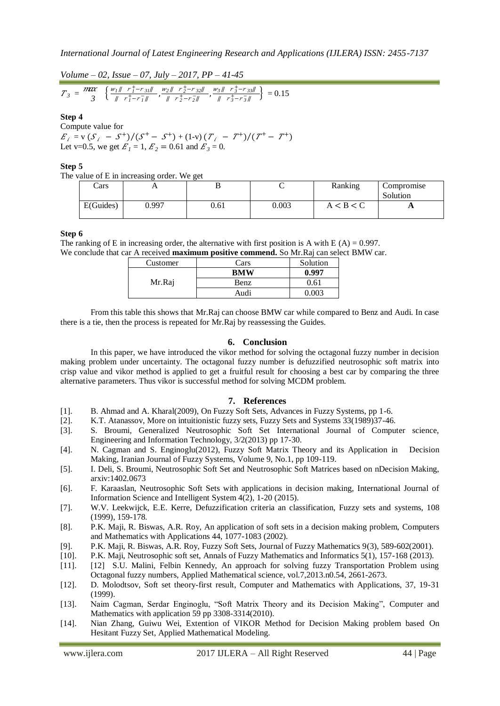*Volume – 02, Issue – 07, July – 2017, PP – 41-45*

$$
T_3 = \frac{m\alpha}{3} \left\{ \frac{w_1 \|\ \ r_1^+ - r_{31} \|\ \ }{\|\ \ r_1^+ - r_{1}^- \|\ \ }} , \frac{w_2 \|\ \ r_2^+ - r_{32} \|\ \ }{\|\ \ r_2^+ - r_{2}^- \|\ \ } , \frac{w_3 \|\ \ r_3^+ - r_{33} \|\ }{\|\ \ r_3^+ - r_{3}^- \|\ } \right\} = 0.15
$$

## **Step 4**

Compute value for  $E_i = v (S_i - S^+)/(S^+ - S^+) + (1-v) (T_i - T^+)/(T^+ - T^+)$ Let v=0.5, we get  $E_1 = 1$ ,  $E_2 = 0.61$  and  $E_3 = 0$ .

#### **Step 5**

The value of E in increasing order. We get

| Cars      | . .   | ⊷    |       | Ranking | Compromise<br>Solution |
|-----------|-------|------|-------|---------|------------------------|
| E(Guides) | 0.997 | 0.61 | 0.003 | < B < C | A                      |

## **Step 6**

The ranking of E in increasing order, the alternative with first position is A with E  $(A) = 0.997$ . We conclude that car A received **maximum positive commend.** So Mr.Raj can select BMW car.

| Customer | Cars | Solution |
|----------|------|----------|
|          | BMW  | A 997    |
| Mr.Raj   | Benz | 0.61     |
|          | Audi |          |

From this table this shows that Mr.Raj can choose BMW car while compared to Benz and Audi. In case there is a tie, then the process is repeated for Mr.Raj by reassessing the Guides.

### **6. Conclusion**

In this paper, we have introduced the vikor method for solving the octagonal fuzzy number in decision making problem under uncertainty. The octagonal fuzzy number is defuzzified neutrosophic soft matrix into crisp value and vikor method is applied to get a fruitful result for choosing a best car by comparing the three alternative parameters. Thus vikor is successful method for solving MCDM problem.

#### **7. References**

- [1]. B. Ahmad and A. Kharal(2009), On Fuzzy Soft Sets, Advances in Fuzzy Systems, pp 1-6.
- [2]. K.T. Atanassov, More on intuitionistic fuzzy sets, Fuzzy Sets and Systems 33(1989)37-46.
- [3]. S. Broumi, Generalized Neutrosophic Soft Set International Journal of Computer science, Engineering and Information Technology, 3/2(2013) pp 17-30.
- [4]. N. Cagman and S. Enginoglu(2012), Fuzzy Soft Matrix Theory and its Application in Decision Making, Iranian Journal of Fuzzy Systems, Volume 9, No.1, pp 109-119.
- [5]. I. Deli, S. Broumi, Neutrosophic Soft Set and Neutrosophic Soft Matrices based on nDecision Making, arxiv:1402.0673
- [6]. F. Karaaslan, Neutrosophic Soft Sets with applications in decision making, International Journal of Information Science and Intelligent System 4(2), 1-20 (2015).
- [7]. W.V. Leekwijck, E.E. Kerre, Defuzzification criteria an classification, Fuzzy sets and systems, 108 (1999), 159-178.
- [8]. P.K. Maji, R. Biswas, A.R. Roy, An application of soft sets in a decision making problem, Computers and Mathematics with Applications 44, 1077-1083 (2002).
- [9]. P.K. Maji, R. Biswas, A.R. Roy, Fuzzy Soft Sets, Journal of Fuzzy Mathematics 9(3), 589-602(2001).
- [10]. P.K. Maji, Neutrosophic soft set, Annals of Fuzzy Mathematics and Informatics 5(1), 157-168 (2013).
- [11]. [12] S.U. Malini, Felbin Kennedy, An approach for solving fuzzy Transportation Problem using Octagonal fuzzy numbers, Applied Mathematical science, vol.7,2013.n0.54, 2661-2673.
- [12]. D. Molodtsov, Soft set theory-first result, Computer and Mathematics with Applications, 37, 19-31 (1999).
- [13]. Naim Cagman, Serdar Enginoglu, "Soft Matrix Theory and its Decision Making", Computer and Mathematics with application 59 pp 3308-3314(2010).
- [14]. Nian Zhang, Guiwu Wei, Extention of VIKOR Method for Decision Making problem based On Hesitant Fuzzy Set, Applied Mathematical Modeling.